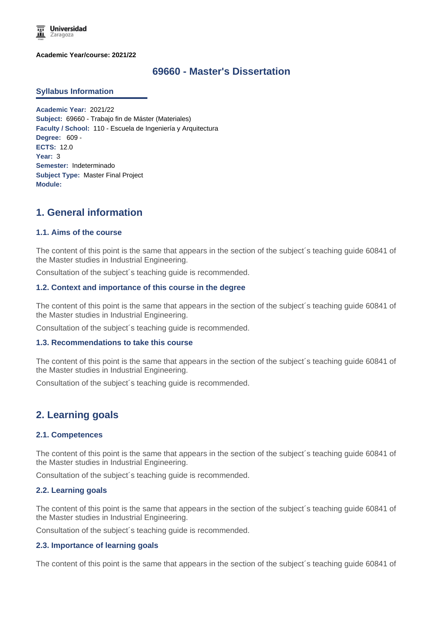

**Academic Year/course: 2021/22**

## **69660 - Master's Dissertation**

#### **Syllabus Information**

**Academic Year:** 2021/22 **Subject:** 69660 - Trabajo fin de Máster (Materiales) **Faculty / School:** 110 - Escuela de Ingeniería y Arquitectura **Degree:** 609 - **ECTS:** 12.0 **Year:** 3 **Semester:** Indeterminado **Subject Type:** Master Final Project **Module:**

# **1. General information**

#### **1.1. Aims of the course**

The content of this point is the same that appears in the section of the subject´s teaching guide 60841 of the Master studies in Industrial Engineering.

Consultation of the subject´s teaching guide is recommended.

#### **1.2. Context and importance of this course in the degree**

The content of this point is the same that appears in the section of the subject´s teaching guide 60841 of the Master studies in Industrial Engineering.

Consultation of the subject´s teaching guide is recommended.

#### **1.3. Recommendations to take this course**

The content of this point is the same that appears in the section of the subject's teaching guide 60841 of the Master studies in Industrial Engineering.

Consultation of the subject´s teaching guide is recommended.

## **2. Learning goals**

#### **2.1. Competences**

The content of this point is the same that appears in the section of the subject´s teaching guide 60841 of the Master studies in Industrial Engineering.

Consultation of the subject´s teaching guide is recommended.

#### **2.2. Learning goals**

The content of this point is the same that appears in the section of the subject´s teaching guide 60841 of the Master studies in Industrial Engineering.

Consultation of the subject´s teaching guide is recommended.

#### **2.3. Importance of learning goals**

The content of this point is the same that appears in the section of the subject´s teaching guide 60841 of